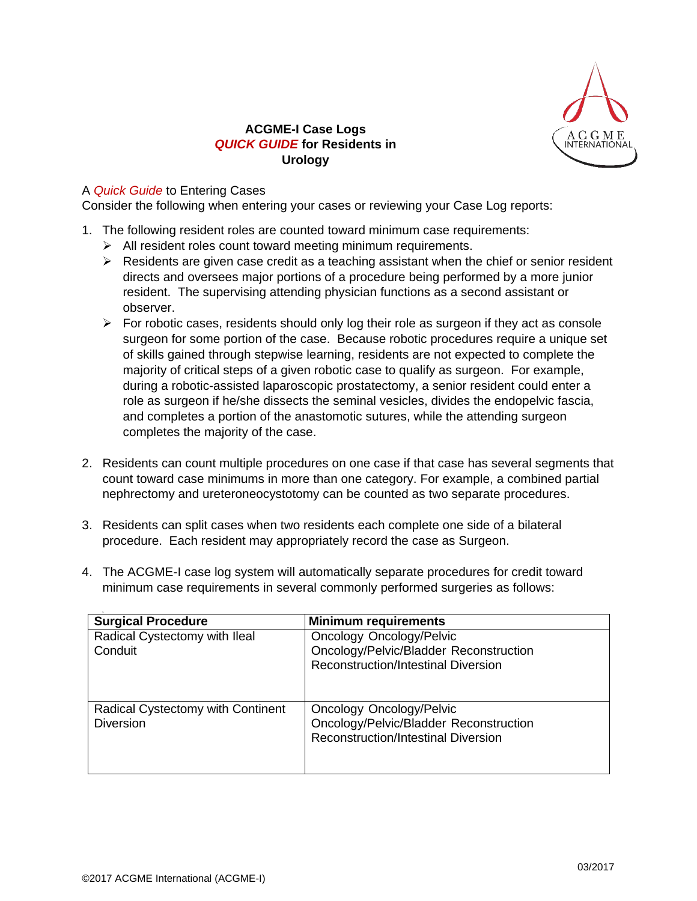

## **ACGME-I Case Logs** *QUICK GUIDE* **for Residents in Urology**

## A *Quick Guide* to Entering Cases

Consider the following when entering your cases or reviewing your Case Log reports:

- 1. The following resident roles are counted toward minimum case requirements:
	- $\triangleright$  All resident roles count toward meeting minimum requirements.
	- $\triangleright$  Residents are given case credit as a teaching assistant when the chief or senior resident directs and oversees major portions of a procedure being performed by a more junior resident. The supervising attending physician functions as a second assistant or observer.
	- $\triangleright$  For robotic cases, residents should only log their role as surgeon if they act as console surgeon for some portion of the case. Because robotic procedures require a unique set of skills gained through stepwise learning, residents are not expected to complete the majority of critical steps of a given robotic case to qualify as surgeon. For example, during a robotic-assisted laparoscopic prostatectomy, a senior resident could enter a role as surgeon if he/she dissects the seminal vesicles, divides the endopelvic fascia, and completes a portion of the anastomotic sutures, while the attending surgeon completes the majority of the case.
- 2. Residents can count multiple procedures on one case if that case has several segments that count toward case minimums in more than one category. For example, a combined partial nephrectomy and ureteroneocystotomy can be counted as two separate procedures.
- 3. Residents can split cases when two residents each complete one side of a bilateral procedure. Each resident may appropriately record the case as Surgeon.
- 4. The ACGME-I case log system will automatically separate procedures for credit toward minimum case requirements in several commonly performed surgeries as follows:

| <b>Surgical Procedure</b>                             | <b>Minimum requirements</b>                                                                                             |
|-------------------------------------------------------|-------------------------------------------------------------------------------------------------------------------------|
| Radical Cystectomy with Ileal<br>Conduit              | <b>Oncology Oncology/Pelvic</b><br>Oncology/Pelvic/Bladder Reconstruction<br><b>Reconstruction/Intestinal Diversion</b> |
| Radical Cystectomy with Continent<br><b>Diversion</b> | Oncology Oncology/Pelvic<br>Oncology/Pelvic/Bladder Reconstruction<br><b>Reconstruction/Intestinal Diversion</b>        |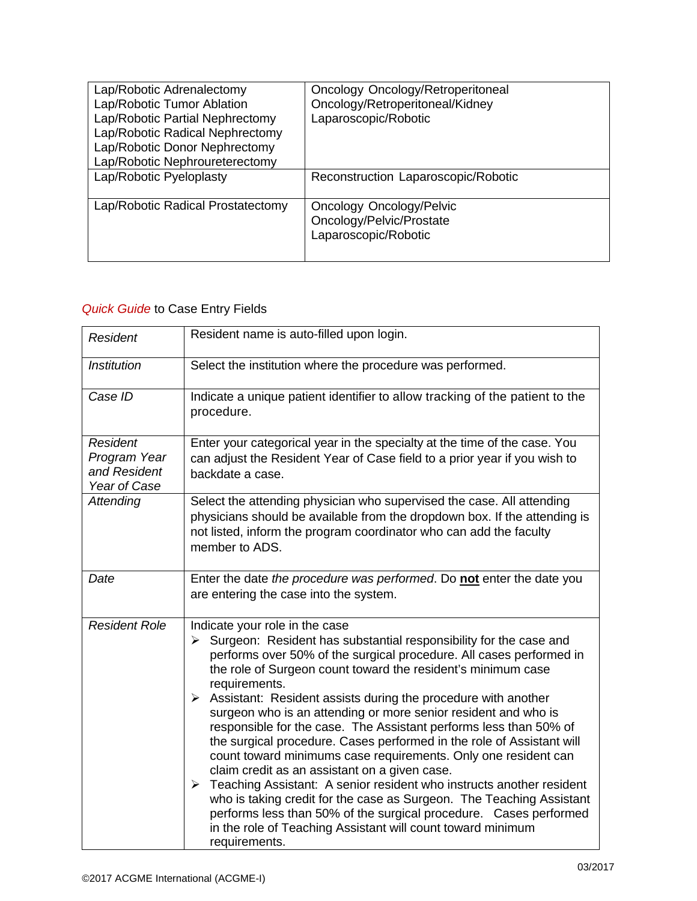| Lap/Robotic Adrenalectomy<br>Lap/Robotic Tumor Ablation<br>Lap/Robotic Partial Nephrectomy<br>Lap/Robotic Radical Nephrectomy<br>Lap/Robotic Donor Nephrectomy<br>Lap/Robotic Nephroureterectomy | Oncology Oncology/Retroperitoneal<br>Oncology/Retroperitoneal/Kidney<br>Laparoscopic/Robotic |
|--------------------------------------------------------------------------------------------------------------------------------------------------------------------------------------------------|----------------------------------------------------------------------------------------------|
| Lap/Robotic Pyeloplasty                                                                                                                                                                          | Reconstruction Laparoscopic/Robotic                                                          |
| Lap/Robotic Radical Prostatectomy                                                                                                                                                                | <b>Oncology Oncology/Pelvic</b><br>Oncology/Pelvic/Prostate<br>Laparoscopic/Robotic          |

## *Quick Guide* to Case Entry Fields

| <b>Resident</b>                                                 | Resident name is auto-filled upon login.                                                                                                                                                                                                                                                                                                                                                                                                                                                                                                                                                                                                                                                                                                                                                                                                                                                                                                                                                                |
|-----------------------------------------------------------------|---------------------------------------------------------------------------------------------------------------------------------------------------------------------------------------------------------------------------------------------------------------------------------------------------------------------------------------------------------------------------------------------------------------------------------------------------------------------------------------------------------------------------------------------------------------------------------------------------------------------------------------------------------------------------------------------------------------------------------------------------------------------------------------------------------------------------------------------------------------------------------------------------------------------------------------------------------------------------------------------------------|
| <b>Institution</b>                                              | Select the institution where the procedure was performed.                                                                                                                                                                                                                                                                                                                                                                                                                                                                                                                                                                                                                                                                                                                                                                                                                                                                                                                                               |
| Case ID                                                         | Indicate a unique patient identifier to allow tracking of the patient to the<br>procedure.                                                                                                                                                                                                                                                                                                                                                                                                                                                                                                                                                                                                                                                                                                                                                                                                                                                                                                              |
| <b>Resident</b><br>Program Year<br>and Resident<br>Year of Case | Enter your categorical year in the specialty at the time of the case. You<br>can adjust the Resident Year of Case field to a prior year if you wish to<br>backdate a case.                                                                                                                                                                                                                                                                                                                                                                                                                                                                                                                                                                                                                                                                                                                                                                                                                              |
| Attending                                                       | Select the attending physician who supervised the case. All attending<br>physicians should be available from the dropdown box. If the attending is<br>not listed, inform the program coordinator who can add the faculty<br>member to ADS.                                                                                                                                                                                                                                                                                                                                                                                                                                                                                                                                                                                                                                                                                                                                                              |
| Date                                                            | Enter the date the procedure was performed. Do not enter the date you<br>are entering the case into the system.                                                                                                                                                                                                                                                                                                                                                                                                                                                                                                                                                                                                                                                                                                                                                                                                                                                                                         |
| <b>Resident Role</b>                                            | Indicate your role in the case<br>Surgeon: Resident has substantial responsibility for the case and<br>➤<br>performs over 50% of the surgical procedure. All cases performed in<br>the role of Surgeon count toward the resident's minimum case<br>requirements.<br>Assistant: Resident assists during the procedure with another<br>➤<br>surgeon who is an attending or more senior resident and who is<br>responsible for the case. The Assistant performs less than 50% of<br>the surgical procedure. Cases performed in the role of Assistant will<br>count toward minimums case requirements. Only one resident can<br>claim credit as an assistant on a given case.<br>Teaching Assistant: A senior resident who instructs another resident<br>$\blacktriangleright$<br>who is taking credit for the case as Surgeon. The Teaching Assistant<br>performs less than 50% of the surgical procedure. Cases performed<br>in the role of Teaching Assistant will count toward minimum<br>requirements. |